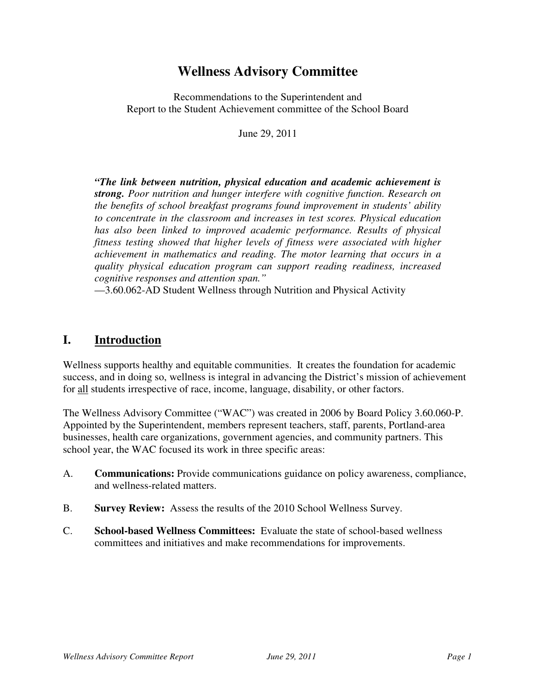# **Wellness Advisory Committee**

Recommendations to the Superintendent and Report to the Student Achievement committee of the School Board

June 29, 2011

*"The link between nutrition, physical education and academic achievement is strong. Poor nutrition and hunger interfere with cognitive function. Research on the benefits of school breakfast programs found improvement in students' ability to concentrate in the classroom and increases in test scores. Physical education has also been linked to improved academic performance. Results of physical fitness testing showed that higher levels of fitness were associated with higher achievement in mathematics and reading. The motor learning that occurs in a quality physical education program can support reading readiness, increased cognitive responses and attention span."*

—3.60.062-AD Student Wellness through Nutrition and Physical Activity

#### **I. Introduction**

Wellness supports healthy and equitable communities. It creates the foundation for academic success, and in doing so, wellness is integral in advancing the District's mission of achievement for all students irrespective of race, income, language, disability, or other factors.

The Wellness Advisory Committee ("WAC") was created in 2006 by Board Policy 3.60.060-P. Appointed by the Superintendent, members represent teachers, staff, parents, Portland-area businesses, health care organizations, government agencies, and community partners. This school year, the WAC focused its work in three specific areas:

- A. **Communications:** Provide communications guidance on policy awareness, compliance, and wellness-related matters.
- B. **Survey Review:** Assess the results of the 2010 School Wellness Survey.
- C. **School-based Wellness Committees:** Evaluate the state of school-based wellness committees and initiatives and make recommendations for improvements.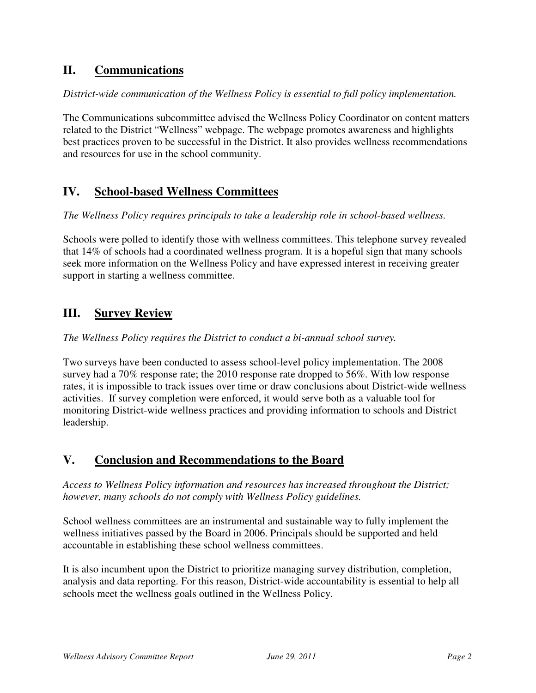## **II. Communications**

*District-wide communication of the Wellness Policy is essential to full policy implementation.* 

The Communications subcommittee advised the Wellness Policy Coordinator on content matters related to the District "Wellness" webpage. The webpage promotes awareness and highlights best practices proven to be successful in the District. It also provides wellness recommendations and resources for use in the school community.

### **IV. School-based Wellness Committees**

*The Wellness Policy requires principals to take a leadership role in school-based wellness.* 

Schools were polled to identify those with wellness committees. This telephone survey revealed that 14% of schools had a coordinated wellness program. It is a hopeful sign that many schools seek more information on the Wellness Policy and have expressed interest in receiving greater support in starting a wellness committee.

### **III. Survey Review**

*The Wellness Policy requires the District to conduct a bi-annual school survey.* 

Two surveys have been conducted to assess school-level policy implementation. The 2008 survey had a 70% response rate; the 2010 response rate dropped to 56%. With low response rates, it is impossible to track issues over time or draw conclusions about District-wide wellness activities. If survey completion were enforced, it would serve both as a valuable tool for monitoring District-wide wellness practices and providing information to schools and District leadership.

### **V. Conclusion and Recommendations to the Board**

*Access to Wellness Policy information and resources has increased throughout the District; however, many schools do not comply with Wellness Policy guidelines.* 

School wellness committees are an instrumental and sustainable way to fully implement the wellness initiatives passed by the Board in 2006. Principals should be supported and held accountable in establishing these school wellness committees.

It is also incumbent upon the District to prioritize managing survey distribution, completion, analysis and data reporting. For this reason, District-wide accountability is essential to help all schools meet the wellness goals outlined in the Wellness Policy.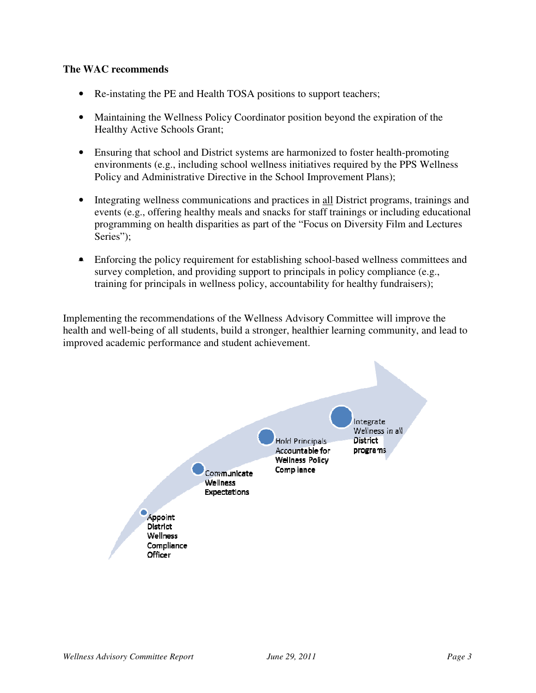#### **The WAC recommends**

- Re-instating the PE and Health TOSA positions to support teachers;
- Maintaining the Wellness Policy Coordinator position beyond the expiration of the Healthy Active Schools Grant;
- Ensuring that school and District systems are harmonized to foster health-promoting environments (e.g., including school wellness initiatives required by the PPS Wellness Policy and Administrative Directive in the School Improvement Plans);
- Integrating wellness communications and practices in all District programs, trainings and events (e.g., offering healthy meals and snacks for staff trainings or including educational programming on health disparities as part of the "Focus on Diversity Film and Lectures Series");
- Enforcing the policy requirement for establishing school-based wellness committees and survey completion, and providing support to principals in policy compliance (e.g., training for principals in wellness policy, accountability for healthy fundraisers);

Implementing the recommendations of the Wellness Advisory Committee will improve the health and well-being of all students, build a stronger, healthier learning community, and lead to improved academic performance and student achievement.